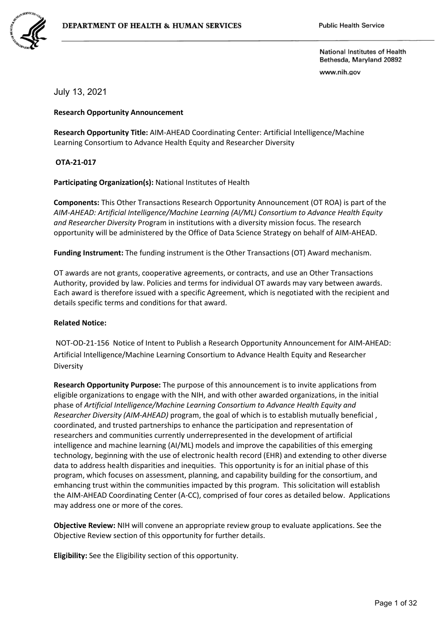

www.nih.gov

## July 13, 2021

#### **Research Opportunity Announcement**

**Research Opportunity Title:** AIM-AHEAD Coordinating Center: Artificial Intelligence/Machine Learning Consortium to Advance Health Equity and Researcher Diversity

**OTA-21-017**

**Participating Organization(s):** National Institutes of Health

**Components:** This Other Transactions Research Opportunity Announcement (OT ROA) is part of the *AIM-AHEAD: Artificial Intelligence/Machine Learning (AI/ML) Consortium to Advance Health Equity and Researcher Diversity* Program in institutions with a diversity mission focus. The research opportunity will be administered by the Office of Data Science Strategy on behalf of AIM-AHEAD.

**Funding Instrument:** The funding instrument is the Other Transactions (OT) Award mechanism.

OT awards are not grants, cooperative agreements, or contracts, and use an Other Transactions Authority, provided by law. Policies and terms for individual OT awards may vary between awards. Each award is therefore issued with a specific Agreement, which is negotiated with the recipient and details specific terms and conditions for that award.

#### **Related Notice:**

NOT-OD-21-156 Notice of Intent to Publish a Research Opportunity Announcement for AIM-AHEAD: Artificial Intelligence/Machine Learning Consortium to Advance Health Equity and Researcher Diversity

**Research Opportunity Purpose:** The purpose of this announcement is to invite applications from eligible organizations to engage with the NIH, and with other awarded organizations, in the initial phase of *Artificial Intelligence/Machine Learning Consortium to Advance Health Equity and Researcher Diversity (AIM-AHEAD)* program, the goal of which is to establish mutually beneficial , coordinated, and trusted partnerships to enhance the participation and representation of researchers and communities currently underrepresented in the development of artificial intelligence and machine learning (AI/ML) models and improve the capabilities of this emerging technology, beginning with the use of electronic health record (EHR) and extending to other diverse data to address health disparities and inequities. This opportunity is for an initial phase of this program, which focuses on assessment, planning, and capability building for the consortium, and emhancing trust within the communities impacted by this program. This solicitation will establish the AIM-AHEAD Coordinating Center (A-CC), comprised of four cores as detailed below. Applications may address one or more of the cores.

**Objective Review:** NIH will convene an appropriate review group to evaluate applications. See the Objective Review section of this opportunity for further details.

**Eligibility:** See the Eligibility section of this opportunity.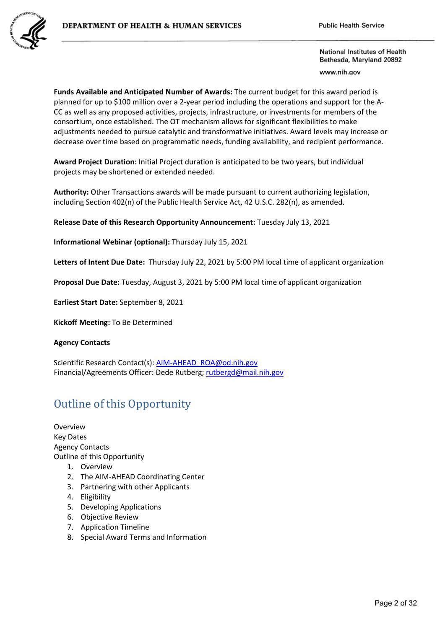

www.nih.gov

**Funds Available and Anticipated Number of Awards:** The current budget for this award period is planned for up to \$100 million over a 2-year period including the operations and support for the A-CC as well as any proposed activities, projects, infrastructure, or investments for members of the consortium, once established. The OT mechanism allows for significant flexibilities to make adjustments needed to pursue catalytic and transformative initiatives. Award levels may increase or decrease over time based on programmatic needs, funding availability, and recipient performance.

**Award Project Duration:** Initial Project duration is anticipated to be two years, but individual projects may be shortened or extended needed.

**Authority:** Other Transactions awards will be made pursuant to current authorizing legislation, including Section 402(n) of the Public Health Service Act, 42 U.S.C. 282(n), as amended.

**Release Date of this Research Opportunity Announcement:** Tuesday July 13, 2021

**Informational Webinar (optional):** Thursday July 15, 2021

**Letters of Intent Due Date:** Thursday July 22, 2021 by 5:00 PM local time of applicant organization

**Proposal Due Date:** Tuesday, August 3, 2021 by 5:00 PM local time of applicant organization

**Earliest Start Date:** September 8, 2021

**Kickoff Meeting:** To Be Determined

### **Agency Contacts**

Scientific Research Contact(s): [AIM-AHEAD\\_ROA@od.nih.gov](mailto:AIM-AHEAD_ROA@od.nih.gov)  Financial/Agreements Officer: Dede Rutberg[; rutbergd@mail.nih.gov](mailto:rutbergd@mail.nih.gov)

# Outline of this Opportunity

Overview Key Dates Agency Contacts Outline of this Opportunity

- 1. Overview
- 2. The AIM-AHEAD Coordinating Center
- 3. Partnering with other Applicants
- 4. Eligibility
- 5. Developing Applications
- 6. Objective Review
- 7. Application Timeline
- 8. Special Award Terms and Information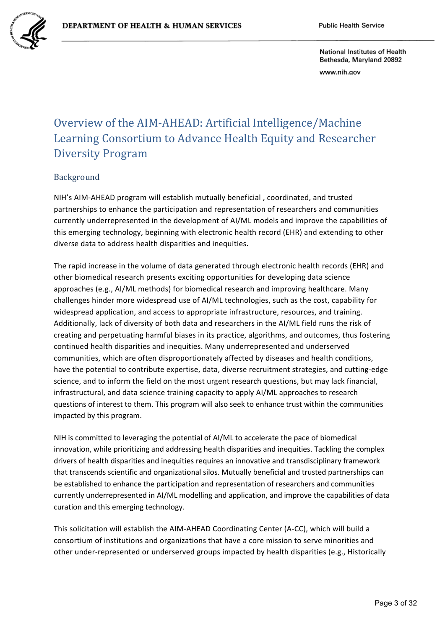

www.nih.gov

# Overview of the AIM-AHEAD: Artificial Intelligence/Machine Learning Consortium to Advance Health Equity and Researcher Diversity Program

## Background

NIH's AIM-AHEAD program will establish mutually beneficial , coordinated, and trusted partnerships to enhance the participation and representation of researchers and communities currently underrepresented in the development of AI/ML models and improve the capabilities of this emerging technology, beginning with electronic health record (EHR) and extending to other diverse data to address health disparities and inequities.

The rapid increase in the volume of data generated through electronic health records (EHR) and other biomedical research presents exciting opportunities for developing data science approaches (e.g., AI/ML methods) for biomedical research and improving healthcare. Many challenges hinder more widespread use of AI/ML technologies, such as the cost, capability for widespread application, and access to appropriate infrastructure, resources, and training. Additionally, lack of diversity of both data and researchers in the AI/ML field runs the risk of creating and perpetuating harmful biases in its practice, algorithms, and outcomes, thus fostering continued health disparities and inequities. Many underrepresented and underserved communities, which are often disproportionately affected by diseases and health conditions, have the potential to contribute expertise, data, diverse recruitment strategies, and cutting-edge science, and to inform the field on the most urgent research questions, but may lack financial, infrastructural, and data science training capacity to apply AI/ML approaches to research questions of interest to them. This program will also seek to enhance trust within the communities impacted by this program.

NIH is committed to leveraging the potential of AI/ML to accelerate the pace of biomedical innovation, while prioritizing and addressing health disparities and inequities. Tackling the complex drivers of health disparities and inequities requires an innovative and transdisciplinary framework that transcends scientific and organizational silos. Mutually beneficial and trusted partnerships can be established to enhance the participation and representation of researchers and communities currently underrepresented in AI/ML modelling and application, and improve the capabilities of data curation and this emerging technology.

This solicitation will establish the AIM-AHEAD Coordinating Center (A-CC), which will build a consortium of institutions and organizations that have a core mission to serve minorities and other under-represented or underserved groups impacted by health disparities (e.g., Historically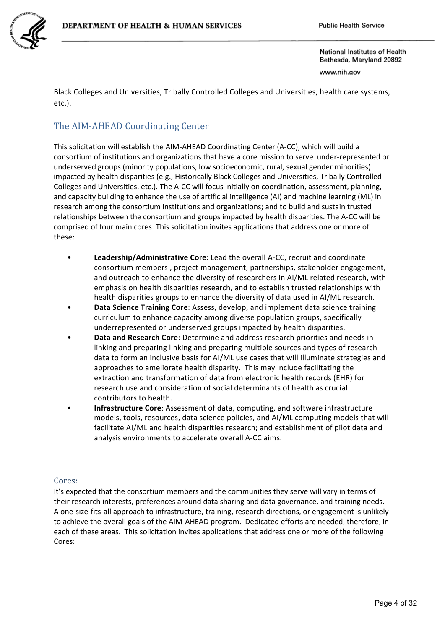

www.nih.gov

Black Colleges and Universities, Tribally Controlled Colleges and Universities, health care systems, etc.).

# The AIM-AHEAD Coordinating Center

This solicitation will establish the AIM-AHEAD Coordinating Center (A-CC), which will build a consortium of institutions and organizations that have a core mission to serve under-represented or underserved groups (minority populations, low socioeconomic, rural, sexual gender minorities) impacted by health disparities (e.g., Historically Black Colleges and Universities, Tribally Controlled Colleges and Universities, etc.). The A-CC will focus initially on coordination, assessment, planning, and capacity building to enhance the use of artificial intelligence (AI) and machine learning (ML) in research among the consortium institutions and organizations; and to build and sustain trusted relationships between the consortium and groups impacted by health disparities. The A-CC will be comprised of four main cores. This solicitation invites applications that address one or more of these:

- **Leadership/Administrative Core**: Lead the overall A-CC, recruit and coordinate consortium members , project management, partnerships, stakeholder engagement, and outreach to enhance the diversity of researchers in AI/ML related research, with emphasis on health disparities research, and to establish trusted relationships with health disparities groups to enhance the diversity of data used in AI/ML research.
- **Data Science Training Core**: Assess, develop, and implement data science training curriculum to enhance capacity among diverse population groups, specifically underrepresented or underserved groups impacted by health disparities.
- **Data and Research Core**: Determine and address research priorities and needs in linking and preparing linking and preparing multiple sources and types of research data to form an inclusive basis for AI/ML use cases that will illuminate strategies and approaches to ameliorate health disparity. This may include facilitating the extraction and transformation of data from electronic health records (EHR) for research use and consideration of social determinants of health as crucial contributors to health.
- **Infrastructure Core**: Assessment of data, computing, and software infrastructure models, tools, resources, data science policies, and AI/ML computing models that will facilitate AI/ML and health disparities research; and establishment of pilot data and analysis environments to accelerate overall A-CC aims.

## Cores:

It's expected that the consortium members and the communities they serve will vary in terms of their research interests, preferences around data sharing and data governance, and training needs. A one-size-fits-all approach to infrastructure, training, research directions, or engagement is unlikely to achieve the overall goals of the AIM-AHEAD program. Dedicated efforts are needed, therefore, in each of these areas. This solicitation invites applications that address one or more of the following Cores: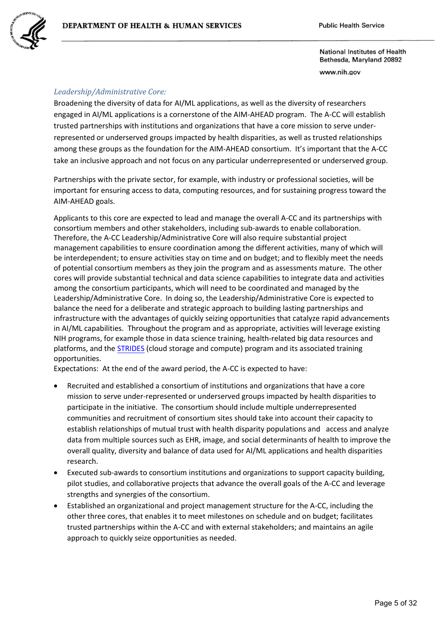National Institutes of Health Bethesda, Maryland 20892 www.nih.gov

## *Leadership/Administrative Core:*

Broadening the diversity of data for AI/ML applications, as well as the diversity of researchers engaged in AI/ML applications is a cornerstone of the AIM-AHEAD program. The A-CC will establish trusted partnerships with institutions and organizations that have a core mission to serve underrepresented or underserved groups impacted by health disparities, as well as trusted relationships among these groups as the foundation for the AIM-AHEAD consortium. It's important that the A-CC take an inclusive approach and not focus on any particular underrepresented or underserved group.

Partnerships with the private sector, for example, with industry or professional societies, will be important for ensuring access to data, computing resources, and for sustaining progress toward the AIM-AHEAD goals.

Applicants to this core are expected to lead and manage the overall A-CC and its partnerships with consortium members and other stakeholders, including sub-awards to enable collaboration. Therefore, the A-CC Leadership/Administrative Core will also require substantial project management capabilities to ensure coordination among the different activities, many of which will be interdependent; to ensure activities stay on time and on budget; and to flexibly meet the needs of potential consortium members as they join the program and as assessments mature. The other cores will provide substantial technical and data science capabilities to integrate data and activities among the consortium participants, which will need to be coordinated and managed by the Leadership/Administrative Core. In doing so, the Leadership/Administrative Core is expected to balance the need for a deliberate and strategic approach to building lasting partnerships and infrastructure with the advantages of quickly seizing opportunities that catalyze rapid advancements in AI/ML capabilities. Throughout the program and as appropriate, activities will leverage existing NIH programs, for example those in data science training, health-related big data resources and platforms, and the [STRIDES](https://cloud.nih.gov/) (cloud storage and compute) program and its associated training opportunities.

Expectations: At the end of the award period, the A-CC is expected to have:

- Recruited and established a consortium of institutions and organizations that have a core mission to serve under-represented or underserved groups impacted by health disparities to participate in the initiative. The consortium should include multiple underrepresented communities and recruitment of consortium sites should take into account their capacity to establish relationships of mutual trust with health disparity populations and access and analyze data from multiple sources such as EHR, image, and social determinants of health to improve the overall quality, diversity and balance of data used for AI/ML applications and health disparities research.
- Executed sub-awards to consortium institutions and organizations to support capacity building, pilot studies, and collaborative projects that advance the overall goals of the A-CC and leverage strengths and synergies of the consortium.
- Established an organizational and project management structure for the A-CC, including the other three cores, that enables it to meet milestones on schedule and on budget; facilitates trusted partnerships within the A-CC and with external stakeholders; and maintains an agile approach to quickly seize opportunities as needed.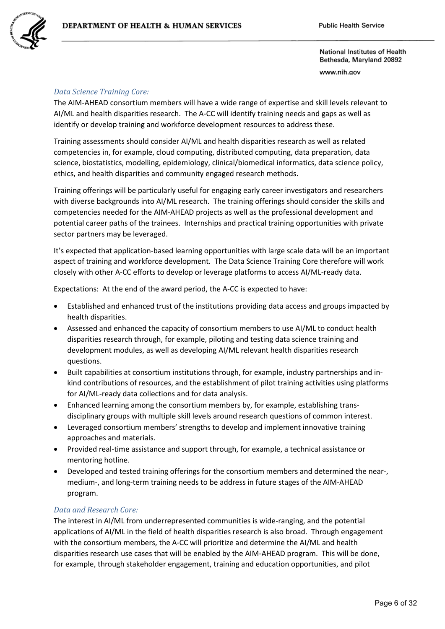

www.nih.gov

## *Data Science Training Core:*

The AIM-AHEAD consortium members will have a wide range of expertise and skill levels relevant to AI/ML and health disparities research. The A-CC will identify training needs and gaps as well as identify or develop training and workforce development resources to address these.

Training assessments should consider AI/ML and health disparities research as well as related competencies in, for example, cloud computing, distributed computing, data preparation, data science, biostatistics, modelling, epidemiology, clinical/biomedical informatics, data science policy, ethics, and health disparities and community engaged research methods.

Training offerings will be particularly useful for engaging early career investigators and researchers with diverse backgrounds into AI/ML research. The training offerings should consider the skills and competencies needed for the AIM-AHEAD projects as well as the professional development and potential career paths of the trainees. Internships and practical training opportunities with private sector partners may be leveraged.

It's expected that application-based learning opportunities with large scale data will be an important aspect of training and workforce development. The Data Science Training Core therefore will work closely with other A-CC efforts to develop or leverage platforms to access AI/ML-ready data.

Expectations: At the end of the award period, the A-CC is expected to have:

- Established and enhanced trust of the institutions providing data access and groups impacted by health disparities.
- Assessed and enhanced the capacity of consortium members to use AI/ML to conduct health disparities research through, for example, piloting and testing data science training and development modules, as well as developing AI/ML relevant health disparities research questions.
- Built capabilities at consortium institutions through, for example, industry partnerships and inkind contributions of resources, and the establishment of pilot training activities using platforms for AI/ML-ready data collections and for data analysis.
- Enhanced learning among the consortium members by, for example, establishing transdisciplinary groups with multiple skill levels around research questions of common interest.
- Leveraged consortium members' strengths to develop and implement innovative training approaches and materials.
- Provided real-time assistance and support through, for example, a technical assistance or mentoring hotline.
- Developed and tested training offerings for the consortium members and determined the near-, medium-, and long-term training needs to be address in future stages of the AIM-AHEAD program.

## *Data and Research Core:*

The interest in AI/ML from underrepresented communities is wide-ranging, and the potential applications of AI/ML in the field of health disparities research is also broad. Through engagement with the consortium members, the A-CC will prioritize and determine the AI/ML and health disparities research use cases that will be enabled by the AIM-AHEAD program. This will be done, for example, through stakeholder engagement, training and education opportunities, and pilot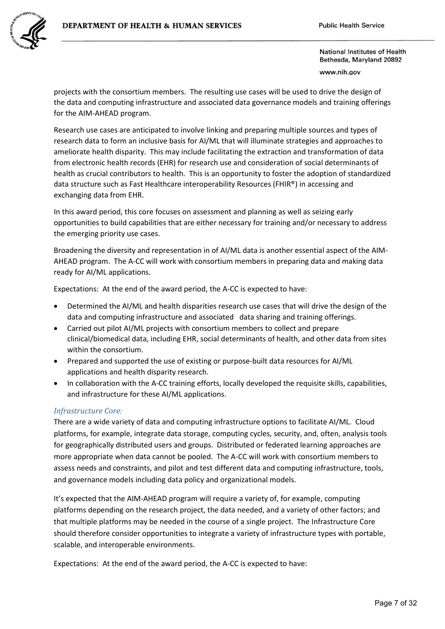

National Institutes of Health Bethesda, Maryland 20892 www.nih.gov

projects with the consortium members. The resulting use cases will be used to drive the design of the data and computing infrastructure and associated data governance models and training offerings for the AIM-AHEAD program.

Research use cases are anticipated to involve linking and preparing multiple sources and types of research data to form an inclusive basis for AI/ML that will illuminate strategies and approaches to ameliorate health disparity. This may include facilitating the extraction and transformation of data from electronic health records (EHR) for research use and consideration of social determinants of health as crucial contributors to health. This is an opportunity to foster the adoption of standardized data structure such as Fast Healthcare interoperability Resources (FHIR®) in accessing and exchanging data from EHR.

In this award period, this core focuses on assessment and planning as well as seizing early opportunities to build capabilities that are either necessary for training and/or necessary to address the emerging priority use cases.

Broadening the diversity and representation in of AI/ML data is another essential aspect of the AIM-AHEAD program. The A-CC will work with consortium members in preparing data and making data ready for AI/ML applications.

Expectations: At the end of the award period, the A-CC is expected to have:

- Determined the AI/ML and health disparities research use cases that will drive the design of the data and computing infrastructure and associated data sharing and training offerings.
- Carried out pilot AI/ML projects with consortium members to collect and prepare clinical/biomedical data, including EHR, social determinants of health, and other data from sites within the consortium.
- Prepared and supported the use of existing or purpose-built data resources for AI/ML applications and health disparity research.
- In collaboration with the A-CC training efforts, locally developed the requisite skills, capabilities, and infrastructure for these AI/ML applications.

## *Infrastructure Core:*

There are a wide variety of data and computing infrastructure options to facilitate AI/ML. Cloud platforms, for example, integrate data storage, computing cycles, security, and, often, analysis tools for geographically distributed users and groups. Distributed or federated learning approaches are more appropriate when data cannot be pooled. The A-CC will work with consortium members to assess needs and constraints, and pilot and test different data and computing infrastructure, tools, and governance models including data policy and organizational models.

It's expected that the AIM-AHEAD program will require a variety of, for example, computing platforms depending on the research project, the data needed, and a variety of other factors; and that multiple platforms may be needed in the course of a single project. The Infrastructure Core should therefore consider opportunities to integrate a variety of infrastructure types with portable, scalable, and interoperable environments.

Expectations: At the end of the award period, the A-CC is expected to have: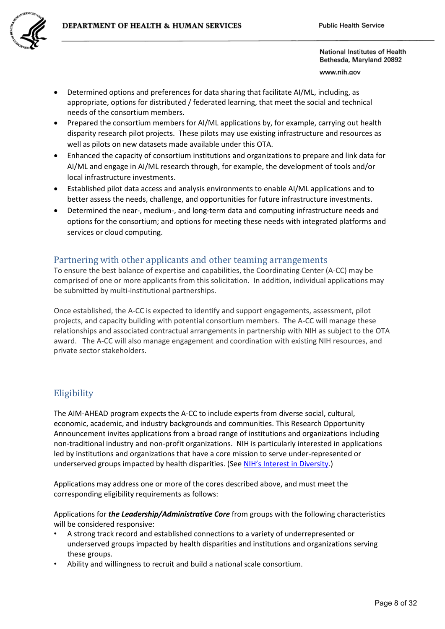

www.nih.gov

- Determined options and preferences for data sharing that facilitate AI/ML, including, as appropriate, options for distributed / federated learning, that meet the social and technical needs of the consortium members.
- Prepared the consortium members for AI/ML applications by, for example, carrying out health disparity research pilot projects. These pilots may use existing infrastructure and resources as well as pilots on new datasets made available under this OTA.
- Enhanced the capacity of consortium institutions and organizations to prepare and link data for AI/ML and engage in AI/ML research through, for example, the development of tools and/or local infrastructure investments.
- Established pilot data access and analysis environments to enable AI/ML applications and to better assess the needs, challenge, and opportunities for future infrastructure investments.
- Determined the near-, medium-, and long-term data and computing infrastructure needs and options for the consortium; and options for meeting these needs with integrated platforms and services or cloud computing.

## Partnering with other applicants and other teaming arrangements

To ensure the best balance of expertise and capabilities, the Coordinating Center (A-CC) may be comprised of one or more applicants from this solicitation. In addition, individual applications may be submitted by multi-institutional partnerships.

Once established, the A-CC is expected to identify and support engagements, assessment, pilot projects, and capacity building with potential consortium members. The A-CC will manage these relationships and associated contractual arrangements in partnership with NIH as subject to the OTA award. The A-CC will also manage engagement and coordination with existing NIH resources, and private sector stakeholders.

## Eligibility

The AIM-AHEAD program expects the A-CC to include experts from diverse social, cultural, economic, academic, and industry backgrounds and communities. This Research Opportunity Announcement invites applications from a broad range of institutions and organizations including non-traditional industry and non-profit organizations. NIH is particularly interested in applications led by institutions and organizations that have a core mission to serve under-represented or underserved groups impacted by health disparities. (See [NIH's Interest in Diversity.](https://grants.nih.gov/grants/guide/notice-files/NOT-OD-20-031.html))

Applications may address one or more of the cores described above, and must meet the corresponding eligibility requirements as follows:

Applications for *the Leadership/Administrative Core* from groups with the following characteristics will be considered responsive:

- A strong track record and established connections to a variety of underrepresented or underserved groups impacted by health disparities and institutions and organizations serving these groups.
- Ability and willingness to recruit and build a national scale consortium.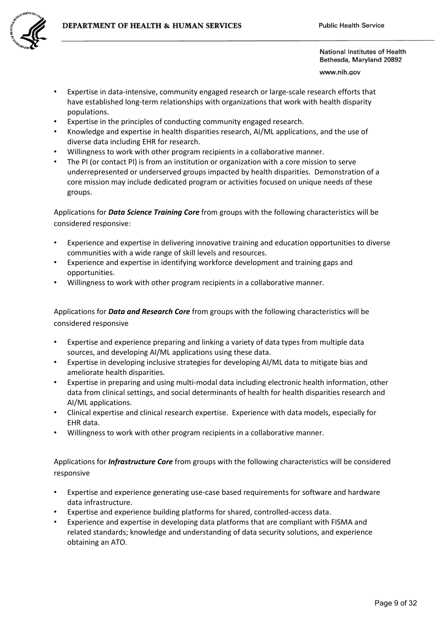

www.nih.gov

- Expertise in data-intensive, community engaged research or large-scale research efforts that have established long-term relationships with organizations that work with health disparity populations.
- Expertise in the principles of conducting community engaged research.
- Knowledge and expertise in health disparities research, AI/ML applications, and the use of diverse data including EHR for research.
- Willingness to work with other program recipients in a collaborative manner.
- The PI (or contact PI) is from an institution or organization with a core mission to serve underrepresented or underserved groups impacted by health disparities. Demonstration of a core mission may include dedicated program or activities focused on unique needs of these groups.

Applications for *Data Science Training Core* from groups with the following characteristics will be considered responsive:

- Experience and expertise in delivering innovative training and education opportunities to diverse communities with a wide range of skill levels and resources.
- Experience and expertise in identifying workforce development and training gaps and opportunities.
- Willingness to work with other program recipients in a collaborative manner.

Applications for *Data and Research Core* from groups with the following characteristics will be considered responsive

- Expertise and experience preparing and linking a variety of data types from multiple data sources, and developing AI/ML applications using these data.
- Expertise in developing inclusive strategies for developing AI/ML data to mitigate bias and ameliorate health disparities.
- Expertise in preparing and using multi-modal data including electronic health information, other data from clinical settings, and social determinants of health for health disparities research and AI/ML applications.
- Clinical expertise and clinical research expertise. Experience with data models, especially for EHR data.
- Willingness to work with other program recipients in a collaborative manner.

Applications for *Infrastructure Core* from groups with the following characteristics will be considered responsive

- Expertise and experience generating use-case based requirements for software and hardware data infrastructure.
- Expertise and experience building platforms for shared, controlled-access data.
- Experience and expertise in developing data platforms that are compliant with FISMA and related standards; knowledge and understanding of data security solutions, and experience obtaining an ATO.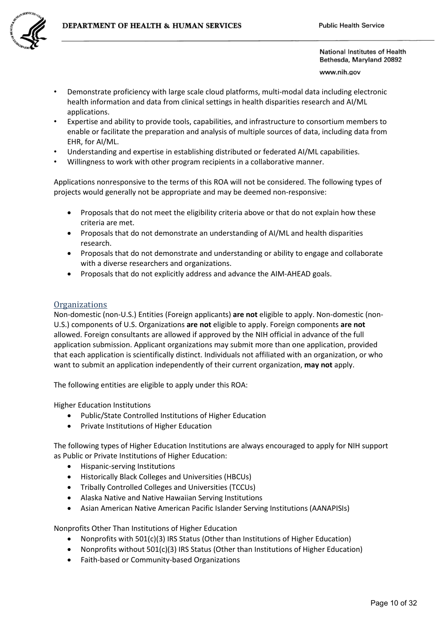

www.nih.gov

- Demonstrate proficiency with large scale cloud platforms, multi-modal data including electronic health information and data from clinical settings in health disparities research and AI/ML applications.
- Expertise and ability to provide tools, capabilities, and infrastructure to consortium members to enable or facilitate the preparation and analysis of multiple sources of data, including data from EHR, for AI/ML.
- Understanding and expertise in establishing distributed or federated AI/ML capabilities.
- Willingness to work with other program recipients in a collaborative manner.

Applications nonresponsive to the terms of this ROA will not be considered. The following types of projects would generally not be appropriate and may be deemed non-responsive:

- Proposals that do not meet the eligibility criteria above or that do not explain how these criteria are met.
- Proposals that do not demonstrate an understanding of AI/ML and health disparities research.
- Proposals that do not demonstrate and understanding or ability to engage and collaborate with a diverse researchers and organizations.
- Proposals that do not explicitly address and advance the AIM-AHEAD goals.

### **Organizations**

Non-domestic (non-U.S.) Entities (Foreign applicants) **are not** eligible to apply. Non-domestic (non-U.S.) components of U.S. Organizations **are not** eligible to apply. Foreign components **are not** allowed. Foreign consultants are allowed if approved by the NIH official in advance of the full application submission. Applicant organizations may submit more than one application, provided that each application is scientifically distinct. Individuals not affiliated with an organization, or who want to submit an application independently of their current organization, **may not** apply.

The following entities are eligible to apply under this ROA:

Higher Education Institutions

- Public/State Controlled Institutions of Higher Education
- Private Institutions of Higher Education

The following types of Higher Education Institutions are always encouraged to apply for NIH support as Public or Private Institutions of Higher Education:

- Hispanic-serving Institutions
- Historically Black Colleges and Universities (HBCUs)
- Tribally Controlled Colleges and Universities (TCCUs)
- Alaska Native and Native Hawaiian Serving Institutions
- Asian American Native American Pacific Islander Serving Institutions (AANAPISIs)

Nonprofits Other Than Institutions of Higher Education

- Nonprofits with 501(c)(3) IRS Status (Other than Institutions of Higher Education)
- Nonprofits without 501(c)(3) IRS Status (Other than Institutions of Higher Education)
- Faith-based or Community-based Organizations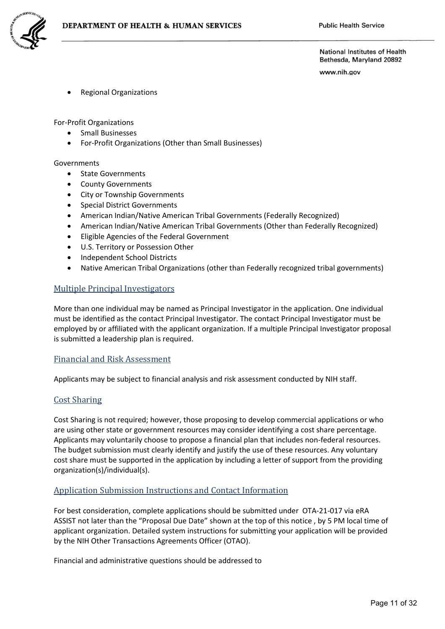

www.nih.gov

• Regional Organizations

For-Profit Organizations

- Small Businesses
- For-Profit Organizations (Other than Small Businesses)

#### Governments

- State Governments
- County Governments
- City or Township Governments
- Special District Governments
- American Indian/Native American Tribal Governments (Federally Recognized)
- American Indian/Native American Tribal Governments (Other than Federally Recognized)
- Eligible Agencies of the Federal Government
- U.S. Territory or Possession Other
- Independent School Districts
- Native American Tribal Organizations (other than Federally recognized tribal governments)

#### Multiple Principal Investigators

More than one individual may be named as Principal Investigator in the application. One individual must be identified as the contact Principal Investigator. The contact Principal Investigator must be employed by or affiliated with the applicant organization. If a multiple Principal Investigator proposal is submitted a leadership plan is required.

#### Financial and Risk Assessment

Applicants may be subject to financial analysis and risk assessment conducted by NIH staff.

#### Cost Sharing

Cost Sharing is not required; however, those proposing to develop commercial applications or who are using other state or government resources may consider identifying a cost share percentage. Applicants may voluntarily choose to propose a financial plan that includes non-federal resources. The budget submission must clearly identify and justify the use of these resources. Any voluntary cost share must be supported in the application by including a letter of support from the providing organization(s)/individual(s).

### Application Submission Instructions and Contact Information

For best consideration, complete applications should be submitted under OTA-21-017 via eRA ASSIST not later than the "Proposal Due Date" shown at the top of this notice , by 5 PM local time of applicant organization. Detailed system instructions for submitting your application will be provided by the NIH Other Transactions Agreements Officer (OTAO).

Financial and administrative questions should be addressed to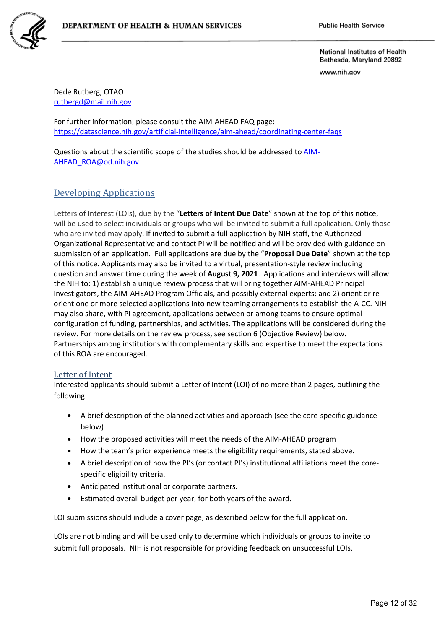www.nih.gov

Dede Rutberg, OTAO [rutbergd@mail.nih.gov](mailto:rutbergd@mail.nih.gov)

For further information, please consult the AIM-AHEAD FAQ page: <https://datascience.nih.gov/artificial-intelligence/aim-ahead/coordinating-center-faqs>

Questions about the scientific scope of the studies should be addressed to [AIM-](mailto:AIM-AHEAD_ROA@od.nih.gov)[AHEAD\\_ROA@od.nih.gov](mailto:AIM-AHEAD_ROA@od.nih.gov) 

# Developing Applications

Letters of Interest (LOIs), due by the "**Letters of Intent Due Date**" shown at the top of this notice, will be used to select individuals or groups who will be invited to submit a full application. Only those who are invited may apply. If invited to submit a full application by NIH staff, the Authorized Organizational Representative and contact PI will be notified and will be provided with guidance on submission of an application. Full applications are due by the "**Proposal Due Date**" shown at the top of this notice. Applicants may also be invited to a virtual, presentation-style review including question and answer time during the week of **August 9, 2021**. Applications and interviews will allow the NIH to: 1) establish a unique review process that will bring together AIM-AHEAD Principal Investigators, the AIM-AHEAD Program Officials, and possibly external experts; and 2) orient or reorient one or more selected applications into new teaming arrangements to establish the A-CC. NIH may also share, with PI agreement, applications between or among teams to ensure optimal configuration of funding, partnerships, and activities. The applications will be considered during the review. For more details on the review process, see section 6 (Objective Review) below. Partnerships among institutions with complementary skills and expertise to meet the expectations of this ROA are encouraged.

## Letter of Intent

Interested applicants should submit a Letter of Intent (LOI) of no more than 2 pages, outlining the following:

- A brief description of the planned activities and approach (see the core-specific guidance below)
- How the proposed activities will meet the needs of the AIM-AHEAD program
- How the team's prior experience meets the eligibility requirements, stated above.
- A brief description of how the PI's (or contact PI's) institutional affiliations meet the corespecific eligibility criteria.
- Anticipated institutional or corporate partners.
- Estimated overall budget per year, for both years of the award.

LOI submissions should include a cover page, as described below for the full application.

LOIs are not binding and will be used only to determine which individuals or groups to invite to submit full proposals. NIH is not responsible for providing feedback on unsuccessful LOIs.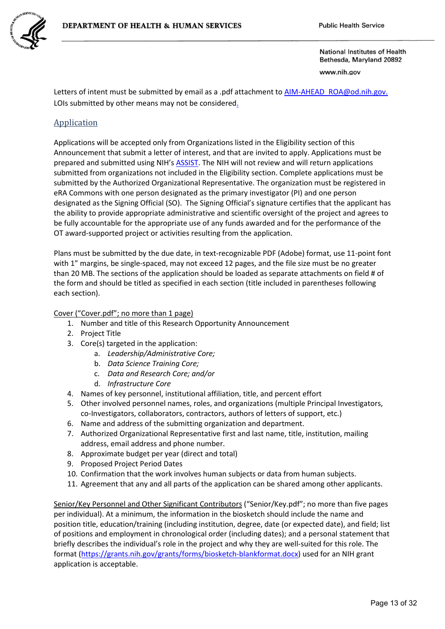

www.nih.gov

Letters of intent must be submitted by email as a .pdf attachment t[o AIM-AHEAD\\_ROA@od.nih.gov.](mailto:AIM-AHEAD_ROA@od.nih.gov) LOIs submitted by other means may not be considered.

## Application

Applications will be accepted only from Organizations listed in the Eligibility section of this Announcement that submit a letter of interest, and that are invited to apply. Applications must be prepared and submitted using NIH'[s ASSIST.](https://public.era.nih.gov/assist/public/login.era?TARGET=https%3A%2F%2Fpublic.era.nih.gov%3A443%2Fassist%2F) The NIH will not review and will return applications submitted from organizations not included in the Eligibility section. Complete applications must be submitted by the Authorized Organizational Representative. The organization must be registered in eRA Commons with one person designated as the primary investigator (PI) and one person designated as the Signing Official (SO). The Signing Official's signature certifies that the applicant has the ability to provide appropriate administrative and scientific oversight of the project and agrees to be fully accountable for the appropriate use of any funds awarded and for the performance of the OT award-supported project or activities resulting from the application.

Plans must be submitted by the due date, in text-recognizable PDF (Adobe) format, use 11-point font with 1" margins, be single-spaced, may not exceed 12 pages, and the file size must be no greater than 20 MB. The sections of the application should be loaded as separate attachments on field # of the form and should be titled as specified in each section (title included in parentheses following each section).

Cover ("Cover.pdf"; no more than 1 page)

- 1. Number and title of this Research Opportunity Announcement
- 2. Project Title
- 3. Core(s) targeted in the application:
	- a. *Leadership/Administrative Core;*
	- b. *Data Science Training Core;*
	- c. *Data and Research Core; and/or*
	- d. *Infrastructure Core*
- 4. Names of key personnel, institutional affiliation, title, and percent effort
- 5. Other involved personnel names, roles, and organizations (multiple Principal Investigators, co-Investigators, collaborators, contractors, authors of letters of support, etc.)
- 6. Name and address of the submitting organization and department.
- 7. Authorized Organizational Representative first and last name, title, institution, mailing address, email address and phone number.
- 8. Approximate budget per year (direct and total)
- 9. Proposed Project Period Dates
- 10. Confirmation that the work involves human subjects or data from human subjects.
- 11. Agreement that any and all parts of the application can be shared among other applicants.

Senior/Key Personnel and Other Significant Contributors ("Senior/Key.pdf"; no more than five pages per individual). At a minimum, the information in the biosketch should include the name and position title, education/training (including institution, degree, date (or expected date), and field; list of positions and employment in chronological order (including dates); and a personal statement that briefly describes the individual's role in the project and why they are well-suited for this role. The format [\(https://grants.nih.gov/grants/forms/biosketch-blankformat.docx\)](https://grants.nih.gov/grants/forms/biosketch-blankformat.docx) used for an NIH grant application is acceptable.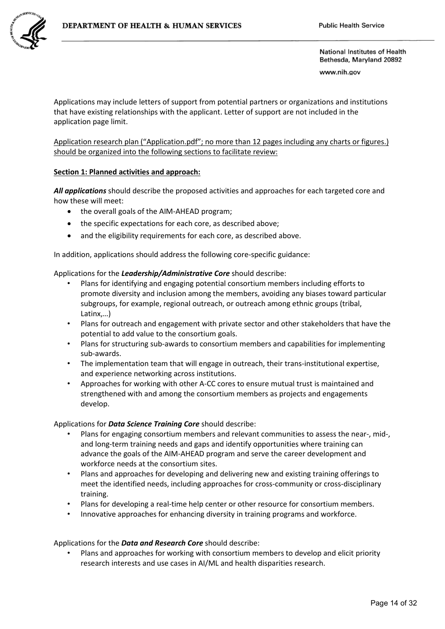

www.nih.gov

Applications may include letters of support from potential partners or organizations and institutions that have existing relationships with the applicant. Letter of support are not included in the application page limit.

Application research plan ("Application.pdf"; no more than 12 pages including any charts or figures.) should be organized into the following sections to facilitate review:

### **Section 1: Planned activities and approach:**

*All applications* should describe the proposed activities and approaches for each targeted core and how these will meet:

- the overall goals of the AIM-AHEAD program;
- the specific expectations for each core, as described above;
- and the eligibility requirements for each core, as described above.

In addition, applications should address the following core-specific guidance:

#### Applications for the *Leadership/Administrative Core* should describe:

- Plans for identifying and engaging potential consortium members including efforts to promote diversity and inclusion among the members, avoiding any biases toward particular subgroups, for example, regional outreach, or outreach among ethnic groups (tribal, Latinx,…)
- Plans for outreach and engagement with private sector and other stakeholders that have the potential to add value to the consortium goals.
- Plans for structuring sub-awards to consortium members and capabilities for implementing sub-awards.
- The implementation team that will engage in outreach, their trans-institutional expertise, and experience networking across institutions.
- Approaches for working with other A-CC cores to ensure mutual trust is maintained and strengthened with and among the consortium members as projects and engagements develop.

#### Applications for *Data Science Training Core* should describe:

- Plans for engaging consortium members and relevant communities to assess the near-, mid-, and long-term training needs and gaps and identify opportunities where training can advance the goals of the AIM-AHEAD program and serve the career development and workforce needs at the consortium sites.
- Plans and approaches for developing and delivering new and existing training offerings to meet the identified needs, including approaches for cross-community or cross-disciplinary training.
- Plans for developing a real-time help center or other resource for consortium members.
- Innovative approaches for enhancing diversity in training programs and workforce.

#### Applications for the *Data and Research Core* should describe:

• Plans and approaches for working with consortium members to develop and elicit priority research interests and use cases in AI/ML and health disparities research.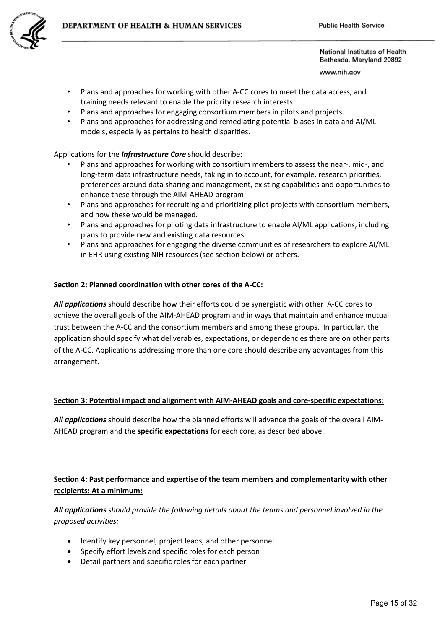

www.nih.gov

- Plans and approaches for working with other A-CC cores to meet the data access, and training needs relevant to enable the priority research interests.
- Plans and approaches for engaging consortium members in pilots and projects.
- Plans and approaches for addressing and remediating potential biases in data and AI/ML models, especially as pertains to health disparities.

Applications for the *Infrastructure Core* should describe:

- Plans and approaches for working with consortium members to assess the near-, mid-, and long-term data infrastructure needs, taking in to account, for example, research priorities, preferences around data sharing and management, existing capabilities and opportunities to enhance these through the AIM-AHEAD program.
- Plans and approaches for recruiting and prioritizing pilot projects with consortium members, and how these would be managed.
- Plans and approaches for piloting data infrastructure to enable AI/ML applications, including plans to provide new and existing data resources.
- Plans and approaches for engaging the diverse communities of researchers to explore AI/ML in EHR using existing NIH resources (see section below) or others.

## **Section 2: Planned coordination with other cores of the A-CC:**

*All applications* should describe how their efforts could be synergistic with other A-CC cores to achieve the overall goals of the AIM-AHEAD program and in ways that maintain and enhance mutual trust between the A-CC and the consortium members and among these groups. In particular, the application should specify what deliverables, expectations, or dependencies there are on other parts of the A-CC. Applications addressing more than one core should describe any advantages from this arrangement.

## **Section 3: Potential impact and alignment with AIM-AHEAD goals and core-specific expectations:**

*All applications* should describe how the planned efforts will advance the goals of the overall AIM-AHEAD program and the **specific expectations** for each core, as described above.

# **Section 4: Past performance and expertise of the team members and complementarity with other recipients: At a minimum:**

*All applications should provide the following details about the teams and personnel involved in the proposed activities:* 

- Identify key personnel, project leads, and other personnel
- Specify effort levels and specific roles for each person
- Detail partners and specific roles for each partner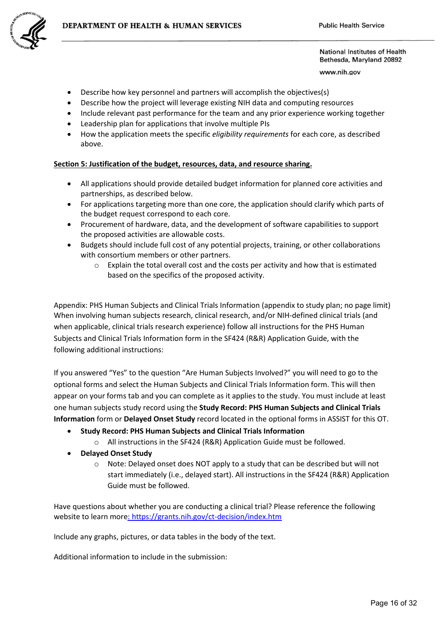

www.nih.gov

- Describe how key personnel and partners will accomplish the objectives(s)
- Describe how the project will leverage existing NIH data and computing resources
- Include relevant past performance for the team and any prior experience working together
- Leadership plan for applications that involve multiple PIs
- How the application meets the specific *eligibility requirements* for each core, as described above.

#### **Section 5: Justification of the budget, resources, data, and resource sharing.**

- All applications should provide detailed budget information for planned core activities and partnerships, as described below.
- For applications targeting more than one core, the application should clarify which parts of the budget request correspond to each core.
- Procurement of hardware, data, and the development of software capabilities to support the proposed activities are allowable costs.
- Budgets should include full cost of any potential projects, training, or other collaborations with consortium members or other partners.
	- $\circ$  Explain the total overall cost and the costs per activity and how that is estimated based on the specifics of the proposed activity.

Appendix: PHS Human Subjects and Clinical Trials Information (appendix to study plan; no page limit) When involving human subjects research, clinical research, and/or NIH-defined clinical trials (and when applicable, clinical trials research experience) follow all instructions for the PHS Human Subjects and Clinical Trials Information form in the SF424 (R&R) Application Guide, with the following additional instructions:

If you answered "Yes" to the question "Are Human Subjects Involved?" you will need to go to the optional forms and select the Human Subjects and Clinical Trials Information form. This will then appear on your forms tab and you can complete as it applies to the study. You must include at least one human subjects study record using the **Study Record: PHS Human Subjects and Clinical Trials Information** form or **Delayed Onset Study** record located in the optional forms in ASSIST for this OT.

- **Study Record: PHS Human Subjects and Clinical Trials Information**
	- o All instructions in the SF424 (R&R) Application Guide must be followed.
- **Delayed Onset Study**
	- o Note: Delayed onset does NOT apply to a study that can be described but will not start immediately (i.e., delayed start). All instructions in the SF424 (R&R) Application Guide must be followed.

Have questions about whether you are conducting a clinical trial? Please reference the following website to learn more: <https://grants.nih.gov/ct-decision/index.htm>

Include any graphs, pictures, or data tables in the body of the text.

Additional information to include in the submission: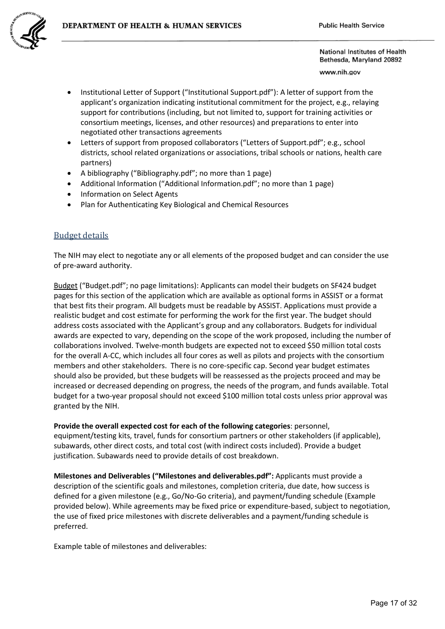www.nih.gov

- Institutional Letter of Support ("Institutional Support.pdf"): A letter of support from the applicant's organization indicating institutional commitment for the project, e.g., relaying support for contributions (including, but not limited to, support for training activities or consortium meetings, licenses, and other resources) and preparations to enter into negotiated other transactions agreements
- Letters of support from proposed collaborators ("Letters of Support.pdf"; e.g., school districts, school related organizations or associations, tribal schools or nations, health care partners)
- A bibliography ("Bibliography.pdf"; no more than 1 page)
- Additional Information ("Additional Information.pdf"; no more than 1 page)
- Information on Select Agents
- Plan for Authenticating Key Biological and Chemical Resources

## Budget details

The NIH may elect to negotiate any or all elements of the proposed budget and can consider the use of pre-award authority.

Budget ("Budget.pdf"; no page limitations): Applicants can model their budgets on SF424 budget pages for this section of the application which are available as optional forms in ASSIST or a format that best fits their program. All budgets must be readable by ASSIST. Applications must provide a realistic budget and cost estimate for performing the work for the first year. The budget should address costs associated with the Applicant's group and any collaborators. Budgets for individual awards are expected to vary, depending on the scope of the work proposed, including the number of collaborations involved. Twelve-month budgets are expected not to exceed \$50 million total costs for the overall A-CC, which includes all four cores as well as pilots and projects with the consortium members and other stakeholders. There is no core-specific cap. Second year budget estimates should also be provided, but these budgets will be reassessed as the projects proceed and may be increased or decreased depending on progress, the needs of the program, and funds available. Total budget for a two-year proposal should not exceed \$100 million total costs unless prior approval was granted by the NIH.

**Provide the overall expected cost for each of the following categories**: personnel, equipment/testing kits, travel, funds for consortium partners or other stakeholders (if applicable), subawards, other direct costs, and total cost (with indirect costs included). Provide a budget justification. Subawards need to provide details of cost breakdown.

**Milestones and Deliverables ("Milestones and deliverables.pdf":** Applicants must provide a description of the scientific goals and milestones, completion criteria, due date, how success is defined for a given milestone (e.g., Go/No-Go criteria), and payment/funding schedule (Example provided below). While agreements may be fixed price or expenditure-based, subject to negotiation, the use of fixed price milestones with discrete deliverables and a payment/funding schedule is preferred.

Example table of milestones and deliverables: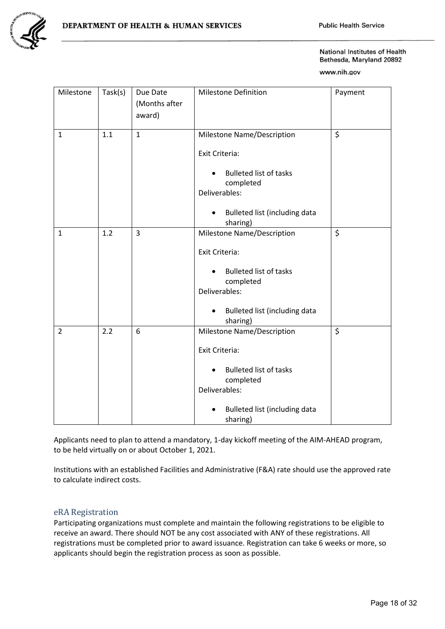

www.nih.gov

| Milestone      | Task(s) | Due Date<br>(Months after<br>award) | <b>Milestone Definition</b>                                 | Payment |
|----------------|---------|-------------------------------------|-------------------------------------------------------------|---------|
| $\mathbf{1}$   | 1.1     | $\mathbf{1}$                        | Milestone Name/Description                                  | $\zeta$ |
|                |         |                                     | Exit Criteria:                                              |         |
|                |         |                                     | <b>Bulleted list of tasks</b><br>completed<br>Deliverables: |         |
|                |         |                                     | Bulleted list (including data<br>$\bullet$<br>sharing)      |         |
| $\mathbf{1}$   | 1.2     | 3                                   | Milestone Name/Description                                  | \$      |
|                |         |                                     | Exit Criteria:                                              |         |
|                |         |                                     | <b>Bulleted list of tasks</b><br>completed<br>Deliverables: |         |
|                |         |                                     | Bulleted list (including data<br>$\bullet$<br>sharing)      |         |
| $\overline{2}$ | 2.2     | 6                                   | Milestone Name/Description                                  | $\zeta$ |
|                |         |                                     | Exit Criteria:                                              |         |
|                |         |                                     | <b>Bulleted list of tasks</b><br>completed<br>Deliverables: |         |
|                |         |                                     | Bulleted list (including data<br>sharing)                   |         |

Applicants need to plan to attend a mandatory, 1-day kickoff meeting of the AIM-AHEAD program, to be held virtually on or about October 1, 2021.

Institutions with an established Facilities and Administrative (F&A) rate should use the approved rate to calculate indirect costs.

## eRA Registration

Participating organizations must complete and maintain the following registrations to be eligible to receive an award. There should NOT be any cost associated with ANY of these registrations. All registrations must be completed prior to award issuance. Registration can take 6 weeks or more, so applicants should begin the registration process as soon as possible.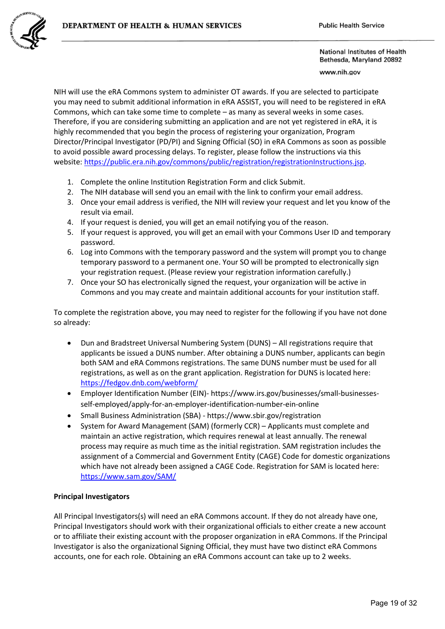

www.nih.gov

NIH will use the eRA Commons system to administer OT awards. If you are selected to participate you may need to submit additional information in eRA ASSIST, you will need to be registered in eRA Commons, which can take some time to complete – as many as several weeks in some cases. Therefore, if you are considering submitting an application and are not yet registered in eRA, it is highly recommended that you begin the process of registering your organization, Program Director/Principal Investigator (PD/PI) and Signing Official (SO) in eRA Commons as soon as possible to avoid possible award processing delays. To register, please follow the instructions via this website[: https://public.era.nih.gov/commons/public/registration/registrationInstructions.jsp.](https://public.era.nih.gov/commons/public/registration/registrationInstructions.jsp)

- 1. Complete the online Institution Registration Form and click Submit.
- 2. The NIH database will send you an email with the link to confirm your email address.
- 3. Once your email address is verified, the NIH will review your request and let you know of the result via email.
- 4. If your request is denied, you will get an email notifying you of the reason.
- 5. If your request is approved, you will get an email with your Commons User ID and temporary password.
- 6. Log into Commons with the temporary password and the system will prompt you to change temporary password to a permanent one. Your SO will be prompted to electronically sign your registration request. (Please review your registration information carefully.)
- 7. Once your SO has electronically signed the request, your organization will be active in Commons and you may create and maintain additional accounts for your institution staff.

To complete the registration above, you may need to register for the following if you have not done so already:

- Dun and Bradstreet Universal Numbering System (DUNS) All registrations require that applicants be issued a DUNS number. After obtaining a DUNS number, applicants can begin both SAM and eRA Commons registrations. The same DUNS number must be used for all registrations, as well as on the grant application. Registration for DUNS is located here: <https://fedgov.dnb.com/webform/>
- Employer Identification Number (EIN)- https://www.irs.gov/businesses/small-businessesself-employed/apply-for-an-employer-identification-number-ein-online
- Small Business Administration (SBA) https://www.sbir.gov/registration
- System for Award Management (SAM) (formerly CCR) Applicants must complete and maintain an active registration, which requires renewal at least annually. The renewal process may require as much time as the initial registration. SAM registration includes the assignment of a Commercial and Government Entity (CAGE) Code for domestic organizations which have not already been assigned a CAGE Code. Registration for SAM is located here: <https://www.sam.gov/SAM/>

### **Principal Investigators**

All Principal Investigators(s) will need an eRA Commons account. If they do not already have one, Principal Investigators should work with their organizational officials to either create a new account or to affiliate their existing account with the proposer organization in eRA Commons. If the Principal Investigator is also the organizational Signing Official, they must have two distinct eRA Commons accounts, one for each role. Obtaining an eRA Commons account can take up to 2 weeks.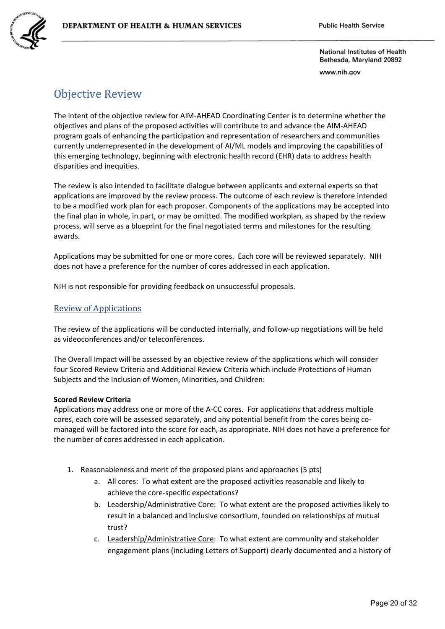www.nih.gov

# Objective Review

The intent of the objective review for AIM-AHEAD Coordinating Center is to determine whether the objectives and plans of the proposed activities will contribute to and advance the AIM-AHEAD program goals of enhancing the participation and representation of researchers and communities currently underrepresented in the development of AI/ML models and improving the capabilities of this emerging technology, beginning with electronic health record (EHR) data to address health disparities and inequities.

The review is also intended to facilitate dialogue between applicants and external experts so that applications are improved by the review process. The outcome of each review is therefore intended to be a modified work plan for each proposer. Components of the applications may be accepted into the final plan in whole, in part, or may be omitted. The modified workplan, as shaped by the review process, will serve as a blueprint for the final negotiated terms and milestones for the resulting awards.

Applications may be submitted for one or more cores. Each core will be reviewed separately. NIH does not have a preference for the number of cores addressed in each application.

NIH is not responsible for providing feedback on unsuccessful proposals.

## Review of Applications

The review of the applications will be conducted internally, and follow-up negotiations will be held as videoconferences and/or teleconferences.

The Overall Impact will be assessed by an objective review of the applications which will consider four Scored Review Criteria and Additional Review Criteria which include Protections of Human Subjects and the Inclusion of Women, Minorities, and Children:

### **Scored Review Criteria**

Applications may address one or more of the A-CC cores. For applications that address multiple cores, each core will be assessed separately, and any potential benefit from the cores being comanaged will be factored into the score for each, as appropriate. NIH does not have a preference for the number of cores addressed in each application.

- 1. Reasonableness and merit of the proposed plans and approaches (5 pts)
	- a. All cores: To what extent are the proposed activities reasonable and likely to achieve the core-specific expectations?
	- b. Leadership/Administrative Core: To what extent are the proposed activities likely to result in a balanced and inclusive consortium, founded on relationships of mutual trust?
	- c. Leadership/Administrative Core: To what extent are community and stakeholder engagement plans (including Letters of Support) clearly documented and a history of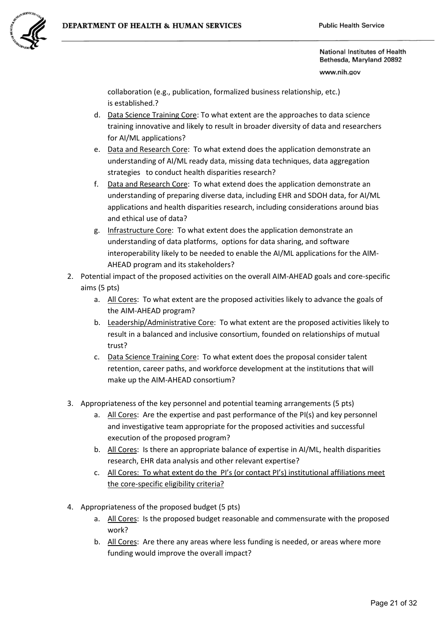

www.nih.gov

collaboration (e.g., publication, formalized business relationship, etc.) is established.?

- d. Data Science Training Core: To what extent are the approaches to data science training innovative and likely to result in broader diversity of data and researchers for AI/ML applications?
- e. Data and Research Core: To what extend does the application demonstrate an understanding of AI/ML ready data, missing data techniques, data aggregation strategies to conduct health disparities research?
- f. Data and Research Core: To what extend does the application demonstrate an understanding of preparing diverse data, including EHR and SDOH data, for AI/ML applications and health disparities research, including considerations around bias and ethical use of data?
- g. Infrastructure Core: To what extent does the application demonstrate an understanding of data platforms, options for data sharing, and software interoperability likely to be needed to enable the AI/ML applications for the AIM-AHEAD program and its stakeholders?
- 2. Potential impact of the proposed activities on the overall AIM-AHEAD goals and core-specific aims (5 pts)
	- a. All Cores: To what extent are the proposed activities likely to advance the goals of the AIM-AHEAD program?
	- b. Leadership/Administrative Core: To what extent are the proposed activities likely to result in a balanced and inclusive consortium, founded on relationships of mutual trust?
	- c. Data Science Training Core: To what extent does the proposal consider talent retention, career paths, and workforce development at the institutions that will make up the AIM-AHEAD consortium?
- 3. Appropriateness of the key personnel and potential teaming arrangements (5 pts)
	- a. All Cores: Are the expertise and past performance of the PI(s) and key personnel and investigative team appropriate for the proposed activities and successful execution of the proposed program?
	- b. All Cores: Is there an appropriate balance of expertise in AI/ML, health disparities research, EHR data analysis and other relevant expertise?
	- c. All Cores: To what extent do the PI's (or contact PI's) institutional affiliations meet the core-specific eligibility criteria?
- 4. Appropriateness of the proposed budget (5 pts)
	- a. All Cores: Is the proposed budget reasonable and commensurate with the proposed work?
	- b. All Cores: Are there any areas where less funding is needed, or areas where more funding would improve the overall impact?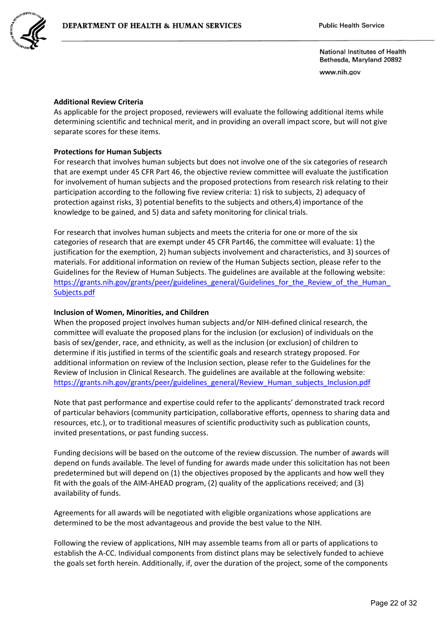

www.nih.gov

#### **Additional Review Criteria**

As applicable for the project proposed, reviewers will evaluate the following additional items while determining scientific and technical merit, and in providing an overall impact score, but will not give separate scores for these items.

#### **Protections for Human Subjects**

For research that involves human subjects but does not involve one of the six categories of research that are exempt under 45 CFR Part 46, the objective review committee will evaluate the justification for involvement of human subjects and the proposed protections from research risk relating to their participation according to the following five review criteria: 1) risk to subjects, 2) adequacy of protection against risks, 3) potential benefits to the subjects and others,4) importance of the knowledge to be gained, and 5) data and safety monitoring for clinical trials.

For research that involves human subjects and meets the criteria for one or more of the six categories of research that are exempt under 45 CFR Part46, the committee will evaluate: 1) the justification for the exemption, 2) human subjects involvement and characteristics, and 3) sources of materials. For additional information on review of the Human Subjects section, please refer to the Guidelines for the Review of Human Subjects. The guidelines are available at the following website: https://grants.nih.gov/grants/peer/guidelines\_general/Guidelines\_for\_the\_Review\_of\_the\_Human [Subjects.pdf](https://grants.nih.gov/grants/peer/guidelines_general/Guidelines_for_the_Review_of_the_Human_Subjects.pdf) 

#### **Inclusion of Women, Minorities, and Children**

When the proposed project involves human subjects and/or NIH-defined clinical research, the committee will evaluate the proposed plans for the inclusion (or exclusion) of individuals on the basis of sex/gender, race, and ethnicity, as well as the inclusion (or exclusion) of children to determine if itis justified in terms of the scientific goals and research strategy proposed. For additional information on review of the Inclusion section, please refer to the Guidelines for the Review of Inclusion in Clinical Research. The guidelines are available at the following website: https://grants.nih.gov/grants/peer/guidelines\_general/Review\_Human\_subjects\_Inclusion.pdf

Note that past performance and expertise could refer to the applicants' demonstrated track record of particular behaviors (community participation, collaborative efforts, openness to sharing data and resources, etc.), or to traditional measures of scientific productivity such as publication counts, invited presentations, or past funding success.

Funding decisions will be based on the outcome of the review discussion. The number of awards will depend on funds available. The level of funding for awards made under this solicitation has not been predetermined but will depend on (1) the objectives proposed by the applicants and how well they fit with the goals of the AIM-AHEAD program, (2) quality of the applications received; and (3) availability of funds.

Agreements for all awards will be negotiated with eligible organizations whose applications are determined to be the most advantageous and provide the best value to the NIH.

Following the review of applications, NIH may assemble teams from all or parts of applications to establish the A-CC. Individual components from distinct plans may be selectively funded to achieve the goals set forth herein. Additionally, if, over the duration of the project, some of the components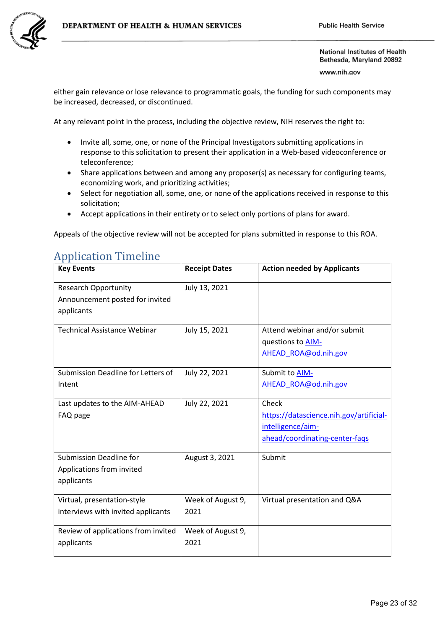

www.nih.gov

either gain relevance or lose relevance to programmatic goals, the funding for such components may be increased, decreased, or discontinued.

At any relevant point in the process, including the objective review, NIH reserves the right to:

- Invite all, some, one, or none of the Principal Investigators submitting applications in response to this solicitation to present their application in a Web-based videoconference or teleconference;
- Share applications between and among any proposer(s) as necessary for configuring teams, economizing work, and prioritizing activities;
- Select for negotiation all, some, one, or none of the applications received in response to this solicitation;
- Accept applications in their entirety or to select only portions of plans for award.

Appeals of the objective review will not be accepted for plans submitted in response to this ROA.

| <b>Key Events</b>                                                            | <b>Receipt Dates</b>      | <b>Action needed by Applicants</b>                                                                      |
|------------------------------------------------------------------------------|---------------------------|---------------------------------------------------------------------------------------------------------|
| <b>Research Opportunity</b><br>Announcement posted for invited<br>applicants | July 13, 2021             |                                                                                                         |
| <b>Technical Assistance Webinar</b>                                          | July 15, 2021             | Attend webinar and/or submit<br>questions to <b>AIM-</b><br>AHEAD ROA@od.nih.gov                        |
| Submission Deadline for Letters of<br>Intent                                 | July 22, 2021             | Submit to AIM-<br>AHEAD ROA@od.nih.gov                                                                  |
| Last updates to the AIM-AHEAD<br>FAQ page                                    | July 22, 2021             | Check<br>https://datascience.nih.gov/artificial-<br>intelligence/aim-<br>ahead/coordinating-center-faqs |
| <b>Submission Deadline for</b><br>Applications from invited<br>applicants    | August 3, 2021            | Submit                                                                                                  |
| Virtual, presentation-style<br>interviews with invited applicants            | Week of August 9,<br>2021 | Virtual presentation and Q&A                                                                            |
| Review of applications from invited<br>applicants                            | Week of August 9,<br>2021 |                                                                                                         |

# Application Timeline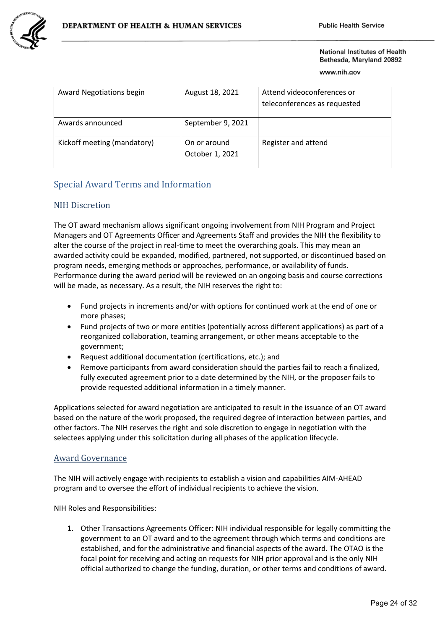www.nih.gov

| <b>Award Negotiations begin</b> | August 18, 2021                 | Attend videoconferences or<br>teleconferences as requested |
|---------------------------------|---------------------------------|------------------------------------------------------------|
| Awards announced                | September 9, 2021               |                                                            |
| Kickoff meeting (mandatory)     | On or around<br>October 1, 2021 | Register and attend                                        |

# Special Award Terms and Information

## NIH Discretion

The OT award mechanism allows significant ongoing involvement from NIH Program and Project Managers and OT Agreements Officer and Agreements Staff and provides the NIH the flexibility to alter the course of the project in real-time to meet the overarching goals. This may mean an awarded activity could be expanded, modified, partnered, not supported, or discontinued based on program needs, emerging methods or approaches, performance, or availability of funds. Performance during the award period will be reviewed on an ongoing basis and course corrections will be made, as necessary. As a result, the NIH reserves the right to:

- Fund projects in increments and/or with options for continued work at the end of one or more phases;
- Fund projects of two or more entities (potentially across different applications) as part of a reorganized collaboration, teaming arrangement, or other means acceptable to the government;
- Request additional documentation (certifications, etc.); and
- Remove participants from award consideration should the parties fail to reach a finalized, fully executed agreement prior to a date determined by the NIH, or the proposer fails to provide requested additional information in a timely manner.

Applications selected for award negotiation are anticipated to result in the issuance of an OT award based on the nature of the work proposed, the required degree of interaction between parties, and other factors. The NIH reserves the right and sole discretion to engage in negotiation with the selectees applying under this solicitation during all phases of the application lifecycle.

### Award Governance

The NIH will actively engage with recipients to establish a vision and capabilities AIM-AHEAD program and to oversee the effort of individual recipients to achieve the vision.

NIH Roles and Responsibilities:

1. Other Transactions Agreements Officer: NIH individual responsible for legally committing the government to an OT award and to the agreement through which terms and conditions are established, and for the administrative and financial aspects of the award. The OTAO is the focal point for receiving and acting on requests for NIH prior approval and is the only NIH official authorized to change the funding, duration, or other terms and conditions of award.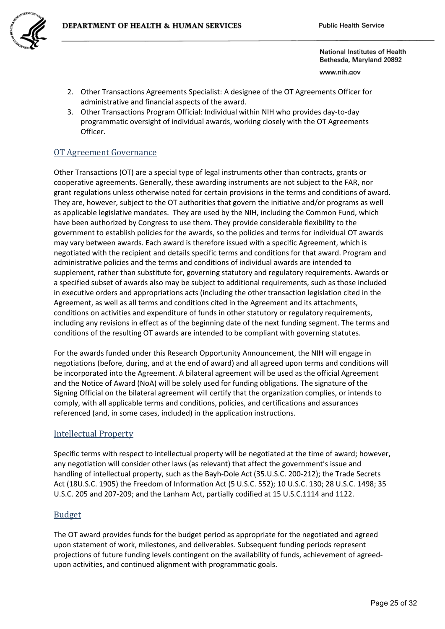

www.nih.gov

- 2. Other Transactions Agreements Specialist: A designee of the OT Agreements Officer for administrative and financial aspects of the award.
- 3. Other Transactions Program Official: Individual within NIH who provides day-to-day programmatic oversight of individual awards, working closely with the OT Agreements Officer.

## OT Agreement Governance

Other Transactions (OT) are a special type of legal instruments other than contracts, grants or cooperative agreements. Generally, these awarding instruments are not subject to the FAR, nor grant regulations unless otherwise noted for certain provisions in the terms and conditions of award. They are, however, subject to the OT authorities that govern the initiative and/or programs as well as applicable legislative mandates. They are used by the NIH, including the Common Fund, which have been authorized by Congress to use them. They provide considerable flexibility to the government to establish policies for the awards, so the policies and terms for individual OT awards may vary between awards. Each award is therefore issued with a specific Agreement, which is negotiated with the recipient and details specific terms and conditions for that award. Program and administrative policies and the terms and conditions of individual awards are intended to supplement, rather than substitute for, governing statutory and regulatory requirements. Awards or a specified subset of awards also may be subject to additional requirements, such as those included in executive orders and appropriations acts (including the other transaction legislation cited in the Agreement, as well as all terms and conditions cited in the Agreement and its attachments, conditions on activities and expenditure of funds in other statutory or regulatory requirements, including any revisions in effect as of the beginning date of the next funding segment. The terms and conditions of the resulting OT awards are intended to be compliant with governing statutes.

For the awards funded under this Research Opportunity Announcement, the NIH will engage in negotiations (before, during, and at the end of award) and all agreed upon terms and conditions will be incorporated into the Agreement. A bilateral agreement will be used as the official Agreement and the Notice of Award (NoA) will be solely used for funding obligations. The signature of the Signing Official on the bilateral agreement will certify that the organization complies, or intends to comply, with all applicable terms and conditions, policies, and certifications and assurances referenced (and, in some cases, included) in the application instructions.

### Intellectual Property

Specific terms with respect to intellectual property will be negotiated at the time of award; however, any negotiation will consider other laws (as relevant) that affect the government's issue and handling of intellectual property, such as the Bayh-Dole Act (35.U.S.C. 200-212); the Trade Secrets Act (18U.S.C. 1905) the Freedom of Information Act (5 U.S.C. 552); 10 U.S.C. 130; 28 U.S.C. 1498; 35 U.S.C. 205 and 207-209; and the Lanham Act, partially codified at 15 U.S.C.1114 and 1122.

### Budget

The OT award provides funds for the budget period as appropriate for the negotiated and agreed upon statement of work, milestones, and deliverables. Subsequent funding periods represent projections of future funding levels contingent on the availability of funds, achievement of agreedupon activities, and continued alignment with programmatic goals.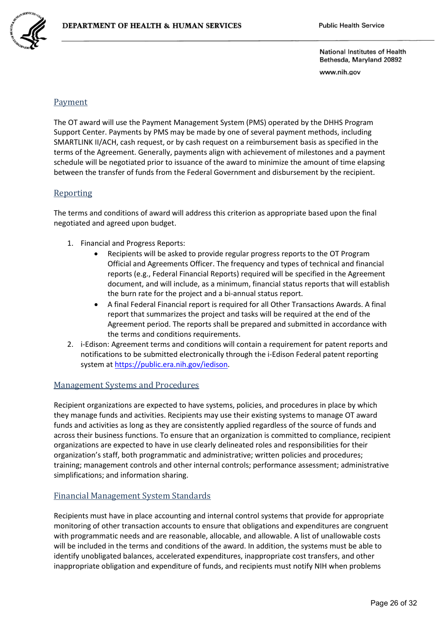

www.nih.gov

## Payment

The OT award will use the Payment Management System (PMS) operated by the DHHS Program Support Center. Payments by PMS may be made by one of several payment methods, including SMARTLINK II/ACH, cash request, or by cash request on a reimbursement basis as specified in the terms of the Agreement. Generally, payments align with achievement of milestones and a payment schedule will be negotiated prior to issuance of the award to minimize the amount of time elapsing between the transfer of funds from the Federal Government and disbursement by the recipient.

### Reporting

The terms and conditions of award will address this criterion as appropriate based upon the final negotiated and agreed upon budget.

- 1. Financial and Progress Reports:
	- Recipients will be asked to provide regular progress reports to the OT Program Official and Agreements Officer. The frequency and types of technical and financial reports (e.g., Federal Financial Reports) required will be specified in the Agreement document, and will include, as a minimum, financial status reports that will establish the burn rate for the project and a bi-annual status report.
	- A final Federal Financial report is required for all Other Transactions Awards. A final report that summarizes the project and tasks will be required at the end of the Agreement period. The reports shall be prepared and submitted in accordance with the terms and conditions requirements.
- 2. i-Edison: Agreement terms and conditions will contain a requirement for patent reports and notifications to be submitted electronically through the i-Edison Federal patent reporting system a[t https://public.era.nih.gov/iedison.](https://public.era.nih.gov/iedison)

## Management Systems and Procedures

Recipient organizations are expected to have systems, policies, and procedures in place by which they manage funds and activities. Recipients may use their existing systems to manage OT award funds and activities as long as they are consistently applied regardless of the source of funds and across their business functions. To ensure that an organization is committed to compliance, recipient organizations are expected to have in use clearly delineated roles and responsibilities for their organization's staff, both programmatic and administrative; written policies and procedures; training; management controls and other internal controls; performance assessment; administrative simplifications; and information sharing.

## Financial Management System Standards

Recipients must have in place accounting and internal control systems that provide for appropriate monitoring of other transaction accounts to ensure that obligations and expenditures are congruent with programmatic needs and are reasonable, allocable, and allowable. A list of unallowable costs will be included in the terms and conditions of the award. In addition, the systems must be able to identify unobligated balances, accelerated expenditures, inappropriate cost transfers, and other inappropriate obligation and expenditure of funds, and recipients must notify NIH when problems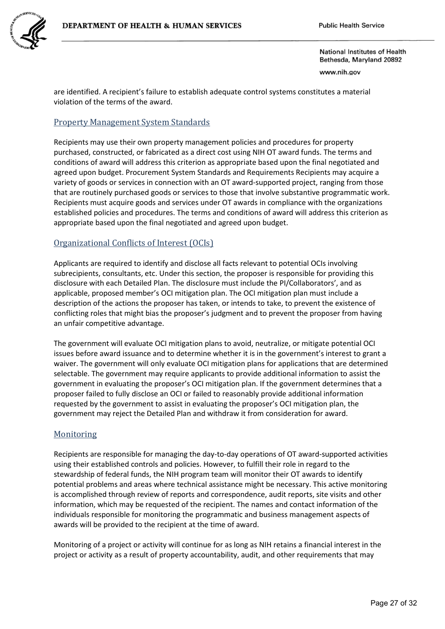

www.nih.gov

are identified. A recipient's failure to establish adequate control systems constitutes a material violation of the terms of the award.

## Property Management System Standards

Recipients may use their own property management policies and procedures for property purchased, constructed, or fabricated as a direct cost using NIH OT award funds. The terms and conditions of award will address this criterion as appropriate based upon the final negotiated and agreed upon budget. Procurement System Standards and Requirements Recipients may acquire a variety of goods or services in connection with an OT award-supported project, ranging from those that are routinely purchased goods or services to those that involve substantive programmatic work. Recipients must acquire goods and services under OT awards in compliance with the organizations established policies and procedures. The terms and conditions of award will address this criterion as appropriate based upon the final negotiated and agreed upon budget.

## Organizational Conflicts of Interest (OCIs)

Applicants are required to identify and disclose all facts relevant to potential OCIs involving subrecipients, consultants, etc. Under this section, the proposer is responsible for providing this disclosure with each Detailed Plan. The disclosure must include the PI/Collaborators', and as applicable, proposed member's OCI mitigation plan. The OCI mitigation plan must include a description of the actions the proposer has taken, or intends to take, to prevent the existence of conflicting roles that might bias the proposer's judgment and to prevent the proposer from having an unfair competitive advantage.

The government will evaluate OCI mitigation plans to avoid, neutralize, or mitigate potential OCI issues before award issuance and to determine whether it is in the government's interest to grant a waiver. The government will only evaluate OCI mitigation plans for applications that are determined selectable. The government may require applicants to provide additional information to assist the government in evaluating the proposer's OCI mitigation plan. If the government determines that a proposer failed to fully disclose an OCI or failed to reasonably provide additional information requested by the government to assist in evaluating the proposer's OCI mitigation plan, the government may reject the Detailed Plan and withdraw it from consideration for award.

## **Monitoring**

Recipients are responsible for managing the day-to-day operations of OT award-supported activities using their established controls and policies. However, to fulfill their role in regard to the stewardship of federal funds, the NIH program team will monitor their OT awards to identify potential problems and areas where technical assistance might be necessary. This active monitoring is accomplished through review of reports and correspondence, audit reports, site visits and other information, which may be requested of the recipient. The names and contact information of the individuals responsible for monitoring the programmatic and business management aspects of awards will be provided to the recipient at the time of award.

Monitoring of a project or activity will continue for as long as NIH retains a financial interest in the project or activity as a result of property accountability, audit, and other requirements that may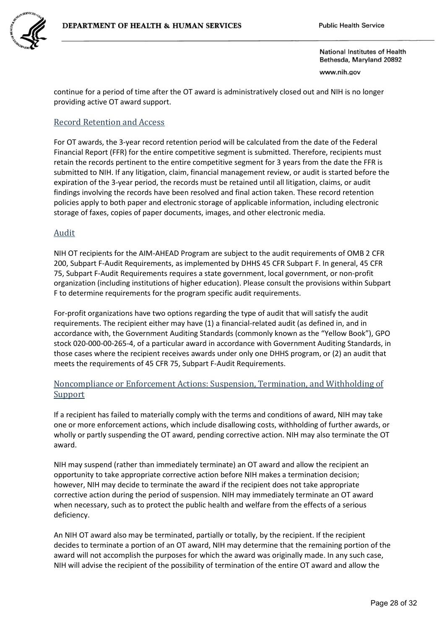

www.nih.gov

continue for a period of time after the OT award is administratively closed out and NIH is no longer providing active OT award support.

## Record Retention and Access

For OT awards, the 3-year record retention period will be calculated from the date of the Federal Financial Report (FFR) for the entire competitive segment is submitted. Therefore, recipients must retain the records pertinent to the entire competitive segment for 3 years from the date the FFR is submitted to NIH. If any litigation, claim, financial management review, or audit is started before the expiration of the 3-year period, the records must be retained until all litigation, claims, or audit findings involving the records have been resolved and final action taken. These record retention policies apply to both paper and electronic storage of applicable information, including electronic storage of faxes, copies of paper documents, images, and other electronic media.

## Audit

NIH OT recipients for the AIM-AHEAD Program are subject to the audit requirements of OMB 2 CFR 200, Subpart F-Audit Requirements, as implemented by DHHS 45 CFR Subpart F. In general, 45 CFR 75, Subpart F-Audit Requirements requires a state government, local government, or non-profit organization (including institutions of higher education). Please consult the provisions within Subpart F to determine requirements for the program specific audit requirements.

For-profit organizations have two options regarding the type of audit that will satisfy the audit requirements. The recipient either may have (1) a financial-related audit (as defined in, and in accordance with, the Government Auditing Standards (commonly known as the "Yellow Book"), GPO stock 020-000-00-265-4, of a particular award in accordance with Government Auditing Standards, in those cases where the recipient receives awards under only one DHHS program, or (2) an audit that meets the requirements of 45 CFR 75, Subpart F-Audit Requirements.

## Noncompliance or Enforcement Actions: Suspension, Termination, and Withholding of **Support**

If a recipient has failed to materially comply with the terms and conditions of award, NIH may take one or more enforcement actions, which include disallowing costs, withholding of further awards, or wholly or partly suspending the OT award, pending corrective action. NIH may also terminate the OT award.

NIH may suspend (rather than immediately terminate) an OT award and allow the recipient an opportunity to take appropriate corrective action before NIH makes a termination decision; however, NIH may decide to terminate the award if the recipient does not take appropriate corrective action during the period of suspension. NIH may immediately terminate an OT award when necessary, such as to protect the public health and welfare from the effects of a serious deficiency.

An NIH OT award also may be terminated, partially or totally, by the recipient. If the recipient decides to terminate a portion of an OT award, NIH may determine that the remaining portion of the award will not accomplish the purposes for which the award was originally made. In any such case, NIH will advise the recipient of the possibility of termination of the entire OT award and allow the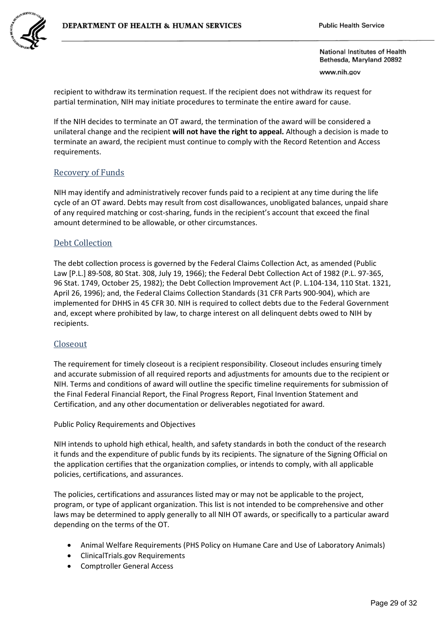

www.nih.gov

recipient to withdraw its termination request. If the recipient does not withdraw its request for partial termination, NIH may initiate procedures to terminate the entire award for cause.

If the NIH decides to terminate an OT award, the termination of the award will be considered a unilateral change and the recipient **will not have the right to appeal.** Although a decision is made to terminate an award, the recipient must continue to comply with the Record Retention and Access requirements.

## Recovery of Funds

NIH may identify and administratively recover funds paid to a recipient at any time during the life cycle of an OT award. Debts may result from cost disallowances, unobligated balances, unpaid share of any required matching or cost-sharing, funds in the recipient's account that exceed the final amount determined to be allowable, or other circumstances.

### Debt Collection

The debt collection process is governed by the Federal Claims Collection Act, as amended (Public Law [P.L.] 89-508, 80 Stat. 308, July 19, 1966); the Federal Debt Collection Act of 1982 (P.L. 97-365, 96 Stat. 1749, October 25, 1982); the Debt Collection Improvement Act (P. L.104-134, 110 Stat. 1321, April 26, 1996); and, the Federal Claims Collection Standards (31 CFR Parts 900-904), which are implemented for DHHS in 45 CFR 30. NIH is required to collect debts due to the Federal Government and, except where prohibited by law, to charge interest on all delinquent debts owed to NIH by recipients.

#### Closeout

The requirement for timely closeout is a recipient responsibility. Closeout includes ensuring timely and accurate submission of all required reports and adjustments for amounts due to the recipient or NIH. Terms and conditions of award will outline the specific timeline requirements for submission of the Final Federal Financial Report, the Final Progress Report, Final Invention Statement and Certification, and any other documentation or deliverables negotiated for award.

Public Policy Requirements and Objectives

NIH intends to uphold high ethical, health, and safety standards in both the conduct of the research it funds and the expenditure of public funds by its recipients. The signature of the Signing Official on the application certifies that the organization complies, or intends to comply, with all applicable policies, certifications, and assurances.

The policies, certifications and assurances listed may or may not be applicable to the project, program, or type of applicant organization. This list is not intended to be comprehensive and other laws may be determined to apply generally to all NIH OT awards, or specifically to a particular award depending on the terms of the OT.

- Animal Welfare Requirements (PHS Policy on Humane Care and Use of Laboratory Animals)
- ClinicalTrials.gov Requirements
- Comptroller General Access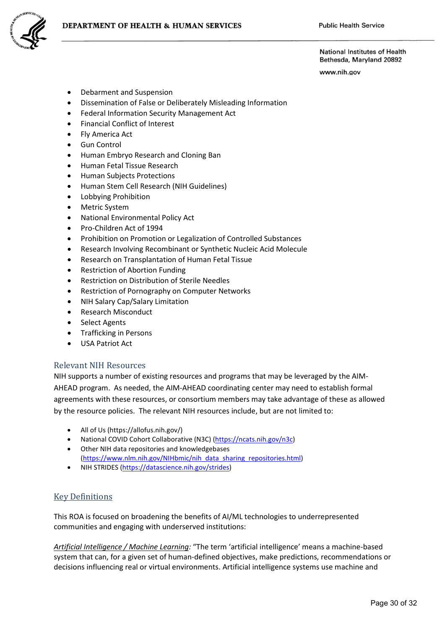www.nih.gov

- Debarment and Suspension
- Dissemination of False or Deliberately Misleading Information
- Federal Information Security Management Act
- Financial Conflict of Interest
- Fly America Act
- Gun Control
- Human Embryo Research and Cloning Ban
- Human Fetal Tissue Research
- Human Subjects Protections
- Human Stem Cell Research (NIH Guidelines)
- Lobbying Prohibition
- Metric System
- National Environmental Policy Act
- Pro-Children Act of 1994
- Prohibition on Promotion or Legalization of Controlled Substances
- Research Involving Recombinant or Synthetic Nucleic Acid Molecule
- Research on Transplantation of Human Fetal Tissue
- Restriction of Abortion Funding
- Restriction on Distribution of Sterile Needles
- Restriction of Pornography on Computer Networks
- NIH Salary Cap/Salary Limitation
- Research Misconduct
- Select Agents
- Trafficking in Persons
- USA Patriot Act

### Relevant NIH Resources

NIH supports a number of existing resources and programs that may be leveraged by the AIM-AHEAD program. As needed, the AIM-AHEAD coordinating center may need to establish formal agreements with these resources, or consortium members may take advantage of these as allowed by the resource policies. The relevant NIH resources include, but are not limited to:

- All of Us (https://allofus.nih.gov/)
- National COVID Cohort Collaborative (N3C) [\(https://ncats.nih.gov/n3c\)](https://ncats.nih.gov/n3c)
- Other NIH data repositories and knowledgebases [\(https://www.nlm.nih.gov/NIHbmic/nih\\_data\\_sharing\\_repositories.html\)](https://www.nlm.nih.gov/NIHbmic/nih_data_sharing_repositories.html)
- NIH STRIDES [\(https://datascience.nih.gov/strides\)](https://datascience.nih.gov/strides)

## Key Definitions

This ROA is focused on broadening the benefits of AI/ML technologies to underrepresented communities and engaging with underserved institutions:

*Artificial Intelligence / Machine Learning:* "The term 'artificial intelligence' means a machine-based system that can, for a given set of human-defined objectives, make predictions, recommendations or decisions influencing real or virtual environments. Artificial intelligence systems use machine and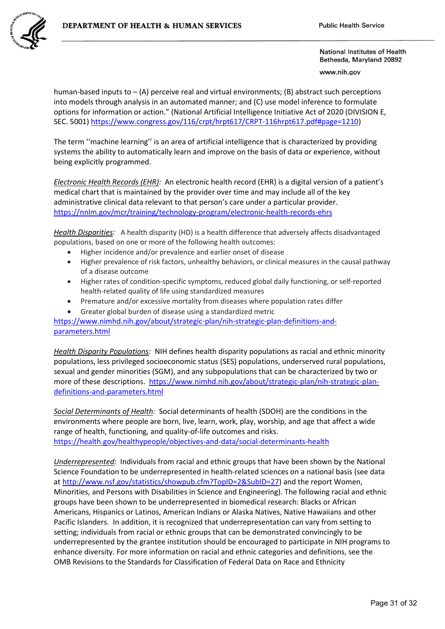

www.nih.gov

 options for information or action." (National Artificial Intelligence Initiative Act of 2020 (DIVISION E, human-based inputs to  $-$  (A) perceive real and virtual environments; (B) abstract such perceptions into models through analysis in an automated manner; and (C) use model inference to formulate SEC. 5001[\) https://www.congress.gov/116/crpt/hrpt617/CRPT-116hrpt617.pdf#page=1210\)](https://www.congress.gov/116/crpt/hrpt617/CRPT-116hrpt617.pdf#page=1210)

 The term ''machine learning'' is an area of artificial intelligence that is characterized by providing systems the ability to automatically learn and improve on the basis of data or experience, without being explicitly programmed.

 <https://nnlm.gov/mcr/training/technology-program/electronic-health-records-ehrs>*Electronic Health Records (EHR):* An electronic health record (EHR) is a digital version of a patient's medical chart that is maintained by the provider over time and may include all of the key administrative clinical data relevant to that person's care under a particular provider.

*Health Disparities:* A health disparity (HD) is a health difference that adversely affects disadvantaged populations, based on one or more of the following health outcomes:

- Higher incidence and/or prevalence and earlier onset of disease
- Higher prevalence of risk factors, unhealthy behaviors, or clinical measures in the causal pathway of a disease outcome
- Higher rates of condition-specific symptoms, reduced global daily functioning, or self-reported health-related quality of life using standardized measures
- Premature and/or excessive mortality from diseases where population rates differ
- Greater global burden of disease using a standardized metric

 [parameters.html](https://www.nimhd.nih.gov/about/strategic-plan/nih-strategic-plan-definitions-and-parameters.html) [https://www.nimhd.nih.gov/about/strategic-plan/nih-strategic-plan-definitions-and-](https://www.nimhd.nih.gov/about/strategic-plan/nih-strategic-plan-definitions-and)

*Health Disparity Populations:* NIH defines health disparity populations as racial and ethnic minority populations, less privileged socioeconomic status (SES) populations, underserved rural populations, sexual and gender minorities (SGM), and any subpopulations that can be characterized by two or more of these descriptions.<https://www.nimhd.nih.gov/about/strategic-plan/nih-strategic-plan>[definitions-and-parameters.html](https://www.nimhd.nih.gov/about/strategic-plan/nih-strategic-plan-definitions-and-parameters.html) 

*Social Determinants of Health:* Social determinants of health (SDOH) are the conditions in the environments where people are born, live, learn, work, play, worship, and age that affect a wide range of health, functioning, and quality-of-life outcomes and risks. <https://health.gov/healthypeople/objectives-and-data/social-determinants-health>

 Minorities, and Persons with Disabilities in Science and Engineering). The following racial and ethnic underrepresented by the grantee institution should be encouraged to participate in NIH programs to enhance diversity. For more information on racial and ethnic categories and definitions, see the OMB Revisions to the Standards for Classification of Federal Data on Race and Ethnicity *Underrepresented:* Individuals from racial and ethnic groups that have been shown by the National Science Foundation to be underrepresented in health-related sciences on a national basis (see data at [http://www.nsf.gov/statistics/showpub.cfm?TopID=2&SubID=27\)](http://www.nsf.gov/statistics/showpub.cfm?TopID=2&SubID=27) and the report Women, groups have been shown to be underrepresented in biomedical research: Blacks or African Americans, Hispanics or Latinos, American Indians or Alaska Natives, Native Hawaiians and other Pacific Islanders. In addition, it is recognized that underrepresentation can vary from setting to setting; individuals from racial or ethnic groups that can be demonstrated convincingly to be